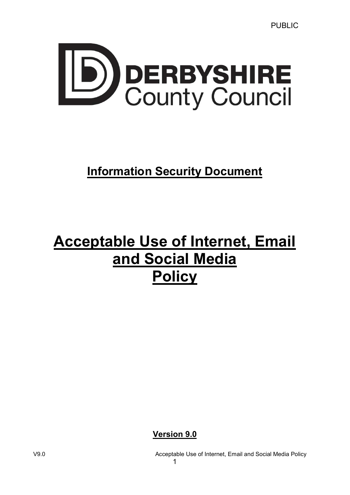

# **Information Security Document**

# Acceptable Use of Internet, Email and Social Media **Policy**

Version 9.0

V9.0 Acceptable Use of Internet, Email and Social Media Policy 1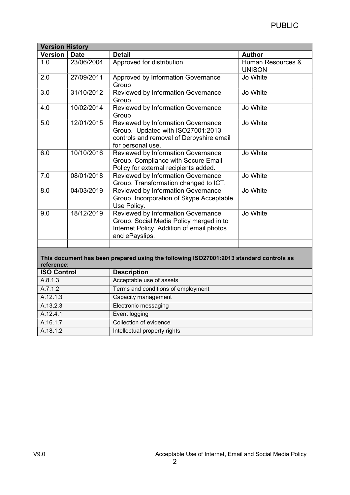| <b>Version History</b> |             |                                                                                                                                                 |                                    |  |
|------------------------|-------------|-------------------------------------------------------------------------------------------------------------------------------------------------|------------------------------------|--|
| <b>Version</b>         | <b>Date</b> | <b>Detail</b>                                                                                                                                   | <b>Author</b>                      |  |
| 1.0                    | 23/06/2004  | Approved for distribution                                                                                                                       | Human Resources &<br><b>UNISON</b> |  |
| 2.0                    | 27/09/2011  | Approved by Information Governance<br>Group                                                                                                     | Jo White                           |  |
| 3.0                    | 31/10/2012  | Reviewed by Information Governance<br>Group                                                                                                     | Jo White                           |  |
| 4.0                    | 10/02/2014  | Reviewed by Information Governance<br>Group                                                                                                     | Jo White                           |  |
| 5.0                    | 12/01/2015  | <b>Reviewed by Information Governance</b><br>Group. Updated with ISO27001:2013<br>controls and removal of Derbyshire email<br>for personal use. | Jo White                           |  |
| 6.0                    | 10/10/2016  | Reviewed by Information Governance<br>Group. Compliance with Secure Email<br>Policy for external recipients added.                              | Jo White                           |  |
| 7.0                    | 08/01/2018  | Reviewed by Information Governance<br>Group. Transformation changed to ICT.                                                                     | Jo White                           |  |
| 8.0                    | 04/03/2019  | Reviewed by Information Governance<br>Group. Incorporation of Skype Acceptable<br>Use Policy.                                                   | Jo White                           |  |
| 9.0                    | 18/12/2019  | Reviewed by Information Governance<br>Group. Social Media Policy merged in to<br>Internet Policy. Addition of email photos<br>and ePayslips.    | Jo White                           |  |
|                        |             |                                                                                                                                                 |                                    |  |

#### This document has been prepared using the following ISO27001:2013 standard controls as reference:

| <b>ISO Control</b> | <b>Description</b>                 |
|--------------------|------------------------------------|
| A.8.1.3            | Acceptable use of assets           |
| A.7.1.2            | Terms and conditions of employment |
| A.12.1.3           | Capacity management                |
| A.13.2.3           | Electronic messaging               |
| A.12.4.1           | Event logging                      |
| A.16.1.7           | Collection of evidence             |
| A.18.1.2           | Intellectual property rights       |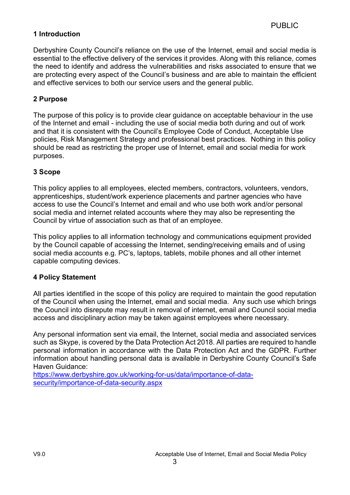#### 1 Introduction

Derbyshire County Council's reliance on the use of the Internet, email and social media is essential to the effective delivery of the services it provides. Along with this reliance, comes the need to identify and address the vulnerabilities and risks associated to ensure that we are protecting every aspect of the Council's business and are able to maintain the efficient and effective services to both our service users and the general public.

#### 2 Purpose

The purpose of this policy is to provide clear guidance on acceptable behaviour in the use of the Internet and email - including the use of social media both during and out of work and that it is consistent with the Council's Employee Code of Conduct, Acceptable Use policies, Risk Management Strategy and professional best practices. Nothing in this policy should be read as restricting the proper use of Internet, email and social media for work purposes.

#### 3 Scope

This policy applies to all employees, elected members, contractors, volunteers, vendors, apprenticeships, student/work experience placements and partner agencies who have access to use the Council's Internet and email and who use both work and/or personal social media and internet related accounts where they may also be representing the Council by virtue of association such as that of an employee.

This policy applies to all information technology and communications equipment provided by the Council capable of accessing the Internet, sending/receiving emails and of using social media accounts e.g. PC's, laptops, tablets, mobile phones and all other internet capable computing devices.

#### 4 Policy Statement

All parties identified in the scope of this policy are required to maintain the good reputation of the Council when using the Internet, email and social media. Any such use which brings the Council into disrepute may result in removal of internet, email and Council social media access and disciplinary action may be taken against employees where necessary.

Any personal information sent via email, the Internet, social media and associated services such as Skype, is covered by the Data Protection Act 2018. All parties are required to handle personal information in accordance with the Data Protection Act and the GDPR. Further information about handling personal data is available in Derbyshire County Council's Safe Haven Guidance:

3

https://www.derbyshire.gov.uk/working-for-us/data/importance-of-datasecurity/importance-of-data-security.aspx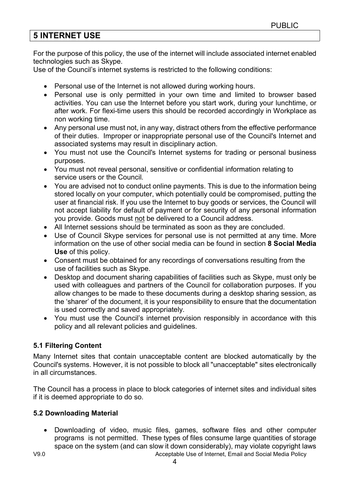# 5 INTERNET USE

For the purpose of this policy, the use of the internet will include associated internet enabled technologies such as Skype.

Use of the Council's internet systems is restricted to the following conditions:

- Personal use of the Internet is not allowed during working hours.
- Personal use is only permitted in your own time and limited to browser based activities. You can use the Internet before you start work, during your lunchtime, or after work. For flexi-time users this should be recorded accordingly in Workplace as non working time.
- Any personal use must not, in any way, distract others from the effective performance of their duties. Improper or inappropriate personal use of the Council's Internet and associated systems may result in disciplinary action.
- You must not use the Council's Internet systems for trading or personal business purposes.
- You must not reveal personal, sensitive or confidential information relating to service users or the Council.
- You are advised not to conduct online payments. This is due to the information being stored locally on your computer, which potentially could be compromised, putting the user at financial risk. If you use the Internet to buy goods or services, the Council will not accept liability for default of payment or for security of any personal information you provide. Goods must not be delivered to a Council address.
- All Internet sessions should be terminated as soon as they are concluded.
- Use of Council Skype services for personal use is not permitted at any time. More information on the use of other social media can be found in section 8 Social Media Use of this policy.
- Consent must be obtained for any recordings of conversations resulting from the use of facilities such as Skype.
- Desktop and document sharing capabilities of facilities such as Skype, must only be used with colleagues and partners of the Council for collaboration purposes. If you allow changes to be made to these documents during a desktop sharing session, as the 'sharer' of the document, it is your responsibility to ensure that the documentation is used correctly and saved appropriately.
- You must use the Council's internet provision responsibly in accordance with this policy and all relevant policies and guidelines.

#### 5.1 Filtering Content

Many Internet sites that contain unacceptable content are blocked automatically by the Council's systems. However, it is not possible to block all "unacceptable" sites electronically in all circumstances.

The Council has a process in place to block categories of internet sites and individual sites if it is deemed appropriate to do so.

#### 5.2 Downloading Material

 Downloading of video, music files, games, software files and other computer programs is not permitted. These types of files consume large quantities of storage space on the system (and can slow it down considerably), may violate copyright laws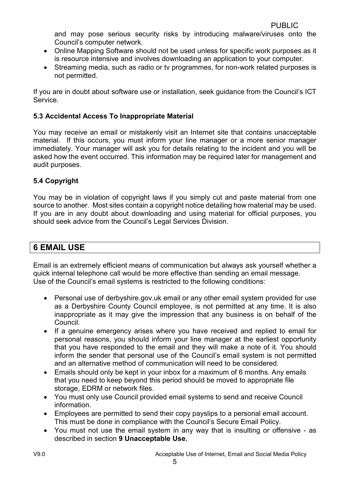and may pose serious security risks by introducing malware/viruses onto the Council's computer network.

- Online Mapping Software should not be used unless for specific work purposes as it is resource intensive and involves downloading an application to your computer.
- Streaming media, such as radio or ty programmes, for non-work related purposes is not permitted.

If you are in doubt about software use or installation, seek guidance from the Council's ICT Service.

#### 5.3 Accidental Access To Inappropriate Material

You may receive an email or mistakenly visit an Internet site that contains unacceptable material. If this occurs, you must inform your line manager or a more senior manager immediately. Your manager will ask you for details relating to the incident and you will be asked how the event occurred. This information may be required later for management and audit purposes.

#### 5.4 Copyright

You may be in violation of copyright laws if you simply cut and paste material from one source to another. Most sites contain a copyright notice detailing how material may be used. If you are in any doubt about downloading and using material for official purposes, you should seek advice from the Council's Legal Services Division.

# 6 EMAIL USE

Email is an extremely efficient means of communication but always ask yourself whether a quick internal telephone call would be more effective than sending an email message. Use of the Council's email systems is restricted to the following conditions:

- Personal use of derbyshire.gov.uk email or any other email system provided for use as a Derbyshire County Council employee, is not permitted at any time. It is also inappropriate as it may give the impression that any business is on behalf of the Council.
- If a genuine emergency arises where you have received and replied to email for personal reasons, you should inform your line manager at the earliest opportunity that you have responded to the email and they will make a note of it. You should inform the sender that personal use of the Council's email system is not permitted and an alternative method of communication will need to be considered.
- Emails should only be kept in your inbox for a maximum of 6 months. Any emails that you need to keep beyond this period should be moved to appropriate file storage, EDRM or network files.
- You must only use Council provided email systems to send and receive Council information.
- Employees are permitted to send their copy payslips to a personal email account. This must be done in compliance with the Council's Secure Email Policy.
- You must not use the email system in any way that is insulting or offensive as described in section 9 Unacceptable Use.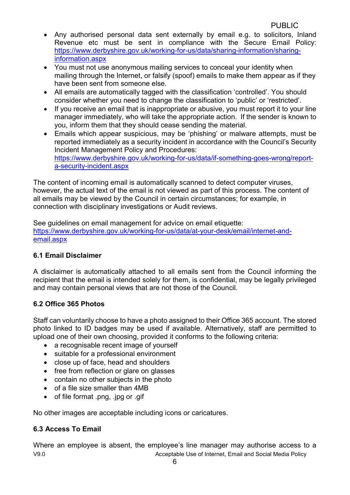- Any authorised personal data sent externally by email e.g. to solicitors, Inland Revenue etc must be sent in compliance with the Secure Email Policy: https://www.derbyshire.gov.uk/working-for-us/data/sharing-information/sharinginformation.aspx
- You must not use anonymous mailing services to conceal your identity when mailing through the Internet, or falsify (spoof) emails to make them appear as if they have been sent from someone else.
- All emails are automatically tagged with the classification 'controlled'. You should consider whether you need to change the classification to 'public' or 'restricted'.
- If you receive an email that is inappropriate or abusive, you must report it to your line manager immediately, who will take the appropriate action. If the sender is known to you, inform them that they should cease sending the material.
- Emails which appear suspicious, may be 'phishing' or malware attempts, must be reported immediately as a security incident in accordance with the Council's Security Incident Management Policy and Procedures: https://www.derbyshire.gov.uk/working-for-us/data/if-something-goes-wrong/reporta-security-incident.aspx

The content of incoming email is automatically scanned to detect computer viruses, however, the actual text of the email is not viewed as part of this process. The content of all emails may be viewed by the Council in certain circumstances; for example, in connection with disciplinary investigations or Audit reviews.

See quidelines on email management for advice on email etiquette: https://www.derbyshire.gov.uk/working-for-us/data/at-your-desk/email/internet-andemail.aspx

#### 6.1 Email Disclaimer

A disclaimer is automatically attached to all emails sent from the Council informing the recipient that the email is intended solely for them, is confidential, may be legally privileged and may contain personal views that are not those of the Council.

#### 6.2 Office 365 Photos

Staff can voluntarily choose to have a photo assigned to their Office 365 account. The stored photo linked to ID badges may be used if available. Alternatively, staff are permitted to upload one of their own choosing, provided it conforms to the following criteria:

- a recognisable recent image of yourself
- suitable for a professional environment
- close up of face, head and shoulders
- free from reflection or glare on glasses
- contain no other subjects in the photo
- of a file size smaller than 4MB
- of file format .png, .jpg or .gif

No other images are acceptable including icons or caricatures.

#### 6.3 Access To Email

V9.0 Acceptable Use of Internet, Email and Social Media Policy Where an employee is absent, the employee's line manager may authorise access to a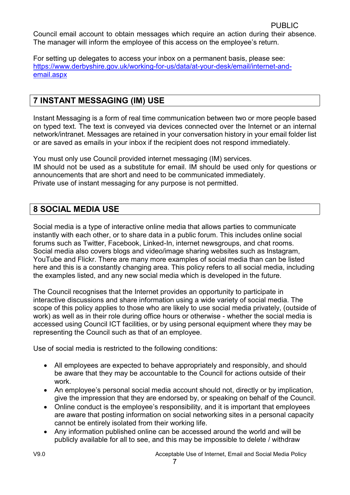Council email account to obtain messages which require an action during their absence. The manager will inform the employee of this access on the employee's return.

For setting up delegates to access your inbox on a permanent basis, please see: https://www.derbyshire.gov.uk/working-for-us/data/at-your-desk/email/internet-andemail.aspx

# 7 INSTANT MESSAGING (IM) USE

Instant Messaging is a form of real time communication between two or more people based on typed text. The text is conveyed via devices connected over the Internet or an internal network/intranet. Messages are retained in your conversation history in your email folder list or are saved as emails in your inbox if the recipient does not respond immediately.

You must only use Council provided internet messaging (IM) services. IM should not be used as a substitute for email. IM should be used only for questions or announcements that are short and need to be communicated immediately. Private use of instant messaging for any purpose is not permitted.

# 8 SOCIAL MEDIA USE

Social media is a type of interactive online media that allows parties to communicate instantly with each other, or to share data in a public forum. This includes online social forums such as Twitter, Facebook, Linked-In, internet newsgroups, and chat rooms. Social media also covers blogs and video/image sharing websites such as Instagram, YouTube and Flickr. There are many more examples of social media than can be listed here and this is a constantly changing area. This policy refers to all social media, including the examples listed, and any new social media which is developed in the future.

The Council recognises that the Internet provides an opportunity to participate in interactive discussions and share information using a wide variety of social media. The scope of this policy applies to those who are likely to use social media privately, (outside of work) as well as in their role during office hours or otherwise - whether the social media is accessed using Council ICT facilities, or by using personal equipment where they may be representing the Council such as that of an employee.

Use of social media is restricted to the following conditions:

- All employees are expected to behave appropriately and responsibly, and should be aware that they may be accountable to the Council for actions outside of their work.
- An employee's personal social media account should not, directly or by implication, give the impression that they are endorsed by, or speaking on behalf of the Council.
- Online conduct is the employee's responsibility, and it is important that employees are aware that posting information on social networking sites in a personal capacity cannot be entirely isolated from their working life.
- Any information published online can be accessed around the world and will be publicly available for all to see, and this may be impossible to delete / withdraw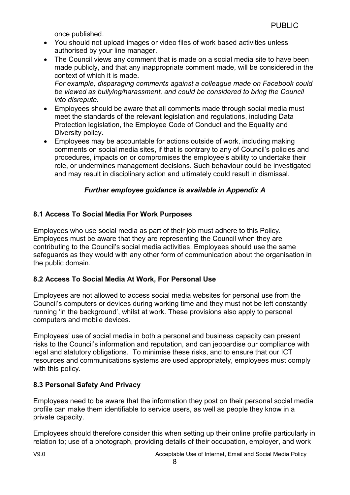once published.

- You should not upload images or video files of work based activities unless authorised by your line manager.
- The Council views any comment that is made on a social media site to have been made publicly, and that any inappropriate comment made, will be considered in the context of which it is made.

For example, disparaging comments against a colleague made on Facebook could be viewed as bullying/harassment, and could be considered to bring the Council into disrepute.

- Employees should be aware that all comments made through social media must meet the standards of the relevant legislation and regulations, including Data Protection legislation, the Employee Code of Conduct and the Equality and Diversity policy.
- Employees may be accountable for actions outside of work, including making comments on social media sites, if that is contrary to any of Council's policies and procedures, impacts on or compromises the employee's ability to undertake their role, or undermines management decisions. Such behaviour could be investigated and may result in disciplinary action and ultimately could result in dismissal.

#### Further employee guidance is available in Appendix A

#### 8.1 Access To Social Media For Work Purposes

Employees who use social media as part of their job must adhere to this Policy. Employees must be aware that they are representing the Council when they are contributing to the Council's social media activities. Employees should use the same safeguards as they would with any other form of communication about the organisation in the public domain.

#### 8.2 Access To Social Media At Work, For Personal Use

Employees are not allowed to access social media websites for personal use from the Council's computers or devices during working time and they must not be left constantly running 'in the background', whilst at work. These provisions also apply to personal computers and mobile devices.

Employees' use of social media in both a personal and business capacity can present risks to the Council's information and reputation, and can jeopardise our compliance with legal and statutory obligations. To minimise these risks, and to ensure that our ICT resources and communications systems are used appropriately, employees must comply with this policy.

#### 8.3 Personal Safety And Privacy

Employees need to be aware that the information they post on their personal social media profile can make them identifiable to service users, as well as people they know in a private capacity.

Employees should therefore consider this when setting up their online profile particularly in relation to; use of a photograph, providing details of their occupation, employer, and work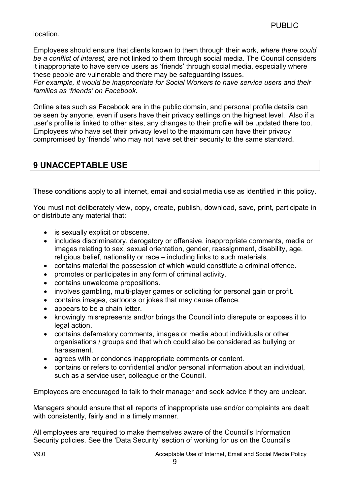#### location.

Employees should ensure that clients known to them through their work, where there could be a conflict of interest, are not linked to them through social media. The Council considers it inappropriate to have service users as 'friends' through social media, especially where these people are vulnerable and there may be safeguarding issues.

For example, it would be inappropriate for Social Workers to have service users and their families as 'friends' on Facebook.

Online sites such as Facebook are in the public domain, and personal profile details can be seen by anyone, even if users have their privacy settings on the highest level. Also if a user's profile is linked to other sites, any changes to their profile will be updated there too. Employees who have set their privacy level to the maximum can have their privacy compromised by 'friends' who may not have set their security to the same standard.

# 9 UNACCEPTABLE USE

These conditions apply to all internet, email and social media use as identified in this policy.

You must not deliberately view, copy, create, publish, download, save, print, participate in or distribute any material that:

- is sexually explicit or obscene.
- includes discriminatory, derogatory or offensive, inappropriate comments, media or images relating to sex, sexual orientation, gender, reassignment, disability, age, religious belief, nationality or race – including links to such materials.
- contains material the possession of which would constitute a criminal offence.
- promotes or participates in any form of criminal activity.
- contains unwelcome propositions.
- involves gambling, multi-player games or soliciting for personal gain or profit.
- contains images, cartoons or jokes that may cause offence.
- appears to be a chain letter.
- knowingly misrepresents and/or brings the Council into disrepute or exposes it to legal action.
- contains defamatory comments, images or media about individuals or other organisations / groups and that which could also be considered as bullying or harassment.
- agrees with or condones inappropriate comments or content.
- contains or refers to confidential and/or personal information about an individual, such as a service user, colleague or the Council.

Employees are encouraged to talk to their manager and seek advice if they are unclear.

Managers should ensure that all reports of inappropriate use and/or complaints are dealt with consistently, fairly and in a timely manner.

All employees are required to make themselves aware of the Council's Information Security policies. See the 'Data Security' section of working for us on the Council's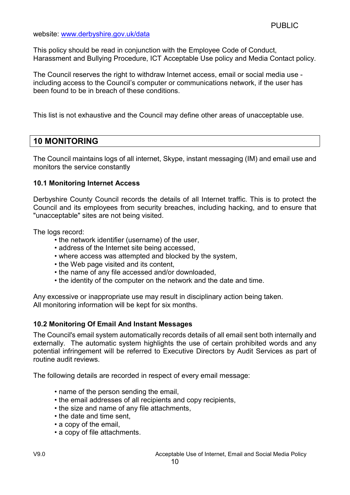website: www.derbyshire.gov.uk/data

This policy should be read in conjunction with the Employee Code of Conduct, Harassment and Bullying Procedure, ICT Acceptable Use policy and Media Contact policy.

The Council reserves the right to withdraw Internet access, email or social media use including access to the Council's computer or communications network, if the user has been found to be in breach of these conditions.

This list is not exhaustive and the Council may define other areas of unacceptable use.

# 10 MONITORING

The Council maintains logs of all internet, Skype, instant messaging (IM) and email use and monitors the service constantly

#### 10.1 Monitoring Internet Access

Derbyshire County Council records the details of all Internet traffic. This is to protect the Council and its employees from security breaches, including hacking, and to ensure that "unacceptable" sites are not being visited.

The logs record:

- the network identifier (username) of the user,
- address of the Internet site being accessed,
- where access was attempted and blocked by the system,
- the Web page visited and its content,
- the name of any file accessed and/or downloaded,
- the identity of the computer on the network and the date and time.

Any excessive or inappropriate use may result in disciplinary action being taken. All monitoring information will be kept for six months.

#### 10.2 Monitoring Of Email And Instant Messages

The Council's email system automatically records details of all email sent both internally and externally. The automatic system highlights the use of certain prohibited words and any potential infringement will be referred to Executive Directors by Audit Services as part of routine audit reviews.

The following details are recorded in respect of every email message:

- name of the person sending the email,
- the email addresses of all recipients and copy recipients,
- the size and name of any file attachments,
- the date and time sent,
- a copy of the email,
- a copy of file attachments.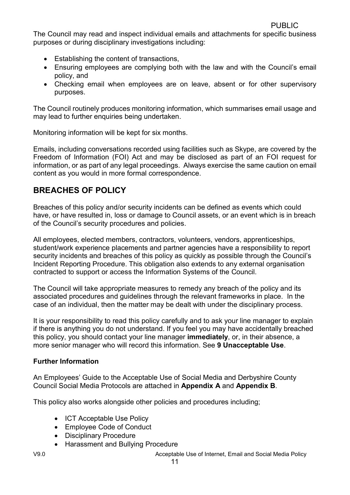The Council may read and inspect individual emails and attachments for specific business purposes or during disciplinary investigations including:

- Establishing the content of transactions,
- Ensuring employees are complying both with the law and with the Council's email policy, and
- Checking email when employees are on leave, absent or for other supervisory purposes.

The Council routinely produces monitoring information, which summarises email usage and may lead to further enquiries being undertaken.

Monitoring information will be kept for six months.

Emails, including conversations recorded using facilities such as Skype, are covered by the Freedom of Information (FOI) Act and may be disclosed as part of an FOI request for information, or as part of any legal proceedings. Always exercise the same caution on email content as you would in more formal correspondence.

# BREACHES OF POLICY

Breaches of this policy and/or security incidents can be defined as events which could have, or have resulted in, loss or damage to Council assets, or an event which is in breach of the Council's security procedures and policies.

All employees, elected members, contractors, volunteers, vendors, apprenticeships, student/work experience placements and partner agencies have a responsibility to report security incidents and breaches of this policy as quickly as possible through the Council's Incident Reporting Procedure. This obligation also extends to any external organisation contracted to support or access the Information Systems of the Council.

The Council will take appropriate measures to remedy any breach of the policy and its associated procedures and guidelines through the relevant frameworks in place. In the case of an individual, then the matter may be dealt with under the disciplinary process.

It is your responsibility to read this policy carefully and to ask your line manager to explain if there is anything you do not understand. If you feel you may have accidentally breached this policy, you should contact your line manager immediately, or, in their absence, a more senior manager who will record this information. See 9 Unacceptable Use.

#### Further Information

An Employees' Guide to the Acceptable Use of Social Media and Derbyshire County Council Social Media Protocols are attached in Appendix A and Appendix B.

This policy also works alongside other policies and procedures including;

- ICT Acceptable Use Policy
- Employee Code of Conduct
- Disciplinary Procedure
- Harassment and Bullying Procedure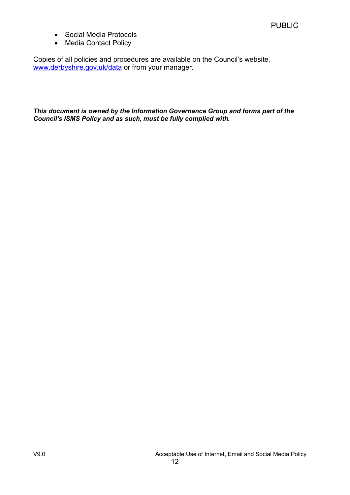- Social Media Protocols
- Media Contact Policy

Copies of all policies and procedures are available on the Council's website, www.derbyshire.gov.uk/data or from your manager.

This document is owned by the Information Governance Group and forms part of the Council's ISMS Policy and as such, must be fully complied with.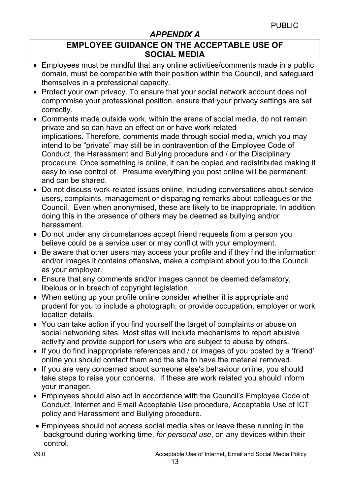# APPENDIX A

# EMPLOYEE GUIDANCE ON THE ACCEPTABLE USE OF SOCIAL MEDIA

- Employees must be mindful that any online activities/comments made in a public domain, must be compatible with their position within the Council, and safeguard themselves in a professional capacity.
- Protect your own privacy. To ensure that your social network account does not compromise your professional position, ensure that your privacy settings are set correctly.
- Comments made outside work, within the arena of social media, do not remain private and so can have an effect on or have work-related implications. Therefore, comments made through social media, which you may intend to be "private" may still be in contravention of the Employee Code of Conduct, the Harassment and Bullying procedure and / or the Disciplinary procedure. Once something is online, it can be copied and redistributed making it easy to lose control of. Presume everything you post online will be permanent and can be shared.
- Do not discuss work-related issues online, including conversations about service users, complaints, management or disparaging remarks about colleagues or the Council. Even when anonymised, these are likely to be inappropriate. In addition doing this in the presence of others may be deemed as bullying and/or harassment.
- Do not under any circumstances accept friend requests from a person you believe could be a service user or may conflict with your employment.
- Be aware that other users may access your profile and if they find the information and/or images it contains offensive, make a complaint about you to the Council as your employer.
- Ensure that any comments and/or images cannot be deemed defamatory, libelous or in breach of copyright legislation.
- When setting up your profile online consider whether it is appropriate and prudent for you to include a photograph, or provide occupation, employer or work location details.
- You can take action if you find yourself the target of complaints or abuse on social networking sites. Most sites will include mechanisms to report abusive activity and provide support for users who are subject to abuse by others.
- If you do find inappropriate references and / or images of you posted by a 'friend' online you should contact them and the site to have the material removed.
- If you are very concerned about someone else's behaviour online, you should take steps to raise your concerns. If these are work related you should inform your manager.
- Employees should also act in accordance with the Council's Employee Code of Conduct, Internet and Email Acceptable Use procedure, Acceptable Use of ICT policy and Harassment and Bullying procedure.
- Employees should not access social media sites or leave these running in the background during working time, for personal use, on any devices within their control.